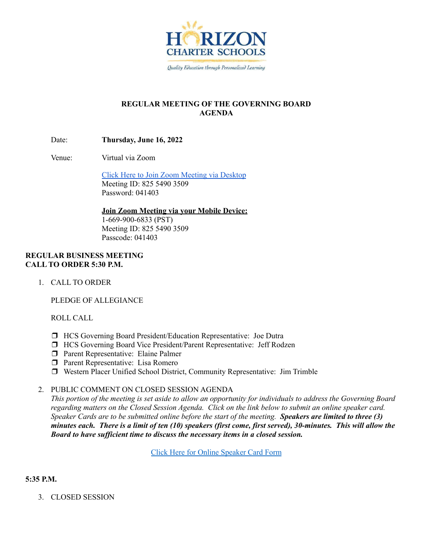

# **REGULAR MEETING OF THE GOVERNING BOARD AGENDA**

Date: **Thursday, June 16, 2022**

Venue: Virtual via Zoom

Click Here to Join Zoom [Meeting](https://hcseagles-org.zoom.us/j/82554903509?pwd=aXZLd0lZdnR4V1JieGM0dFJQSFZWQT09) via Desktop Meeting ID: 825 5490 3509 Password: 041403

**Join Zoom Meeting via your Mobile Device:**

1-669-900-6833 (PST) Meeting ID: 825 5490 3509 Passcode: 041403

# **REGULAR BUSINESS MEETING CALL TO ORDER 5:30 P.M.**

1. CALL TO ORDER

PLEDGE OF ALLEGIANCE

ROLL CALL

- ❒ HCS Governing Board President/Education Representative: Joe Dutra
- ❒ HCS Governing Board Vice President/Parent Representative: Jeff Rodzen
- ❒ Parent Representative: Elaine Palmer
- ❒ Parent Representative: Lisa Romero
- ❒ Western Placer Unified School District, Community Representative: Jim Trimble

# 2. PUBLIC COMMENT ON CLOSED SESSION AGENDA

This portion of the meeting is set aside to allow an opportunity for individuals to address the Governing Board regarding matters on the Closed Session Agenda. Click on the link below to submit an online speaker card. Speaker Cards are to be submitted online before the start of the meeting. Speakers are limited to three  $(3)$ minutes each. There is a limit of ten (10) speakers (first come, first served), 30-minutes. This will allow the *Board to have suf icient time to discuss the necessary items in a closed session.*

Click Here for Online [Speaker](https://forms.gle/1Ad7NmftiSuScxKCA) Card Form

# **5:35 P.M.**

3. CLOSED SESSION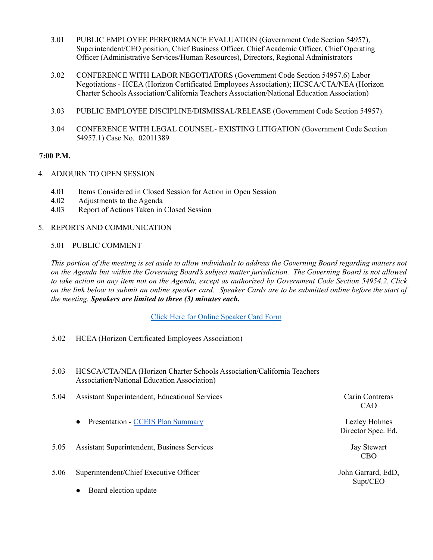- 3.01 PUBLIC EMPLOYEE PERFORMANCE EVALUATION (Government Code Section 54957), Superintendent/CEO position, Chief Business Officer, Chief Academic Officer, Chief Operating Officer (Administrative Services/Human Resources), Directors, Regional Administrators
- 3.02 CONFERENCE WITH LABOR NEGOTIATORS (Government Code Section 54957.6) Labor Negotiations - HCEA (Horizon Certificated Employees Association); HCSCA/CTA/NEA (Horizon Charter Schools Association/California Teachers Association/National Education Association)
- 3.03 PUBLIC EMPLOYEE DISCIPLINE/DISMISSAL/RELEASE (Government Code Section 54957).
- 3.04 CONFERENCE WITH LEGAL COUNSEL- EXISTING LITIGATION (Government Code Section 54957.1) Case No. 02011389

## **7:00 P.M.**

- 4. ADJOURN TO OPEN SESSION
	- 4.01 Items Considered in Closed Session for Action in Open Session
	- 4.02 Adjustments to the Agenda
	- 4.03 Report of Actions Taken in Closed Session
- 5. REPORTS AND COMMUNICATION

#### 5.01 PUBLIC COMMENT

This portion of the meeting is set aside to allow individuals to address the Governing Board regarding matters not on the Agenda but within the Governing Board's subject matter jurisdiction. The Governing Board is not allowed to take action on any item not on the Agenda, except as authorized by Government Code Section 54954.2. Click on the link below to submit an online speaker card. Speaker Cards are to be submitted online before the start of *the meeting. Speakers are limited to three (3) minutes each.*

Click Here for Online [Speaker](https://forms.gle/1Ad7NmftiSuScxKCA) Card Form

- 5.02 HCEA (Horizon Certificated Employees Association)
- 5.03 HCSCA/CTA/NEA (Horizon Charter Schools Association/California Teachers Association/National Education Association)
- 5.04 Assistant Superintendent, Educational Services Carin Contreras
	- Presentation CCEIS Plan [Summary](https://docs.google.com/presentation/d/1lVek3xBSBMGK0_RbtIWBPTESRDBgi_HK4cBD1DD-mWY/edit?usp=sharing) Lezley Holmes
- 5.05 Assistant Superintendent, Business Services Jay Stewart
- 5.06 Superintendent/Chief Executive Officer
	- Board election update

CAO

Director Spec. Ed.

CBO

John Garrard, EdD, Supt/CEO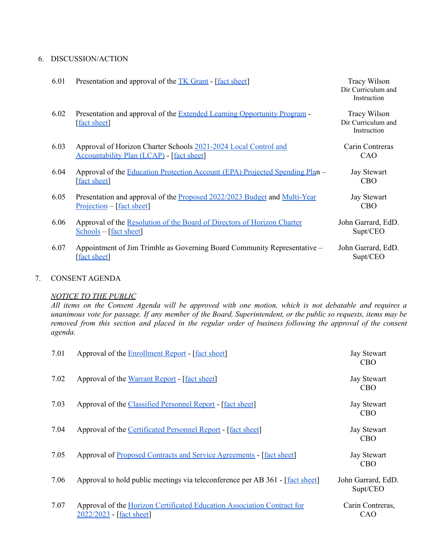#### 6. DISCUSSION/ACTION

| 6.01 | Presentation and approval of the TK Grant - [fact sheet]                                                            | <b>Tracy Wilson</b><br>Dir Curriculum and<br>Instruction |
|------|---------------------------------------------------------------------------------------------------------------------|----------------------------------------------------------|
| 6.02 | Presentation and approval of the Extended Learning Opportunity Program -<br>[fact sheet]                            | <b>Tracy Wilson</b><br>Dir Curriculum and<br>Instruction |
| 6.03 | Approval of Horizon Charter Schools 2021-2024 Local Control and<br><b>Accountability Plan (LCAP)</b> - [fact sheet] | Carin Contreras<br>CAO                                   |
| 6.04 | Approval of the Education Protection Account (EPA) Projected Spending Plan –<br>[fact sheet]                        | <b>Jay Stewart</b><br>CBO <sup>.</sup>                   |
| 6.05 | Presentation and approval of the Proposed 2022/2023 Budget and Multi-Year<br>$Projection - [fact sheet]$            | <b>Jay Stewart</b><br><b>CBO</b>                         |
| 6.06 | Approval of the Resolution of the Board of Directors of Horizon Charter<br>Schools – [fact sheet]                   | John Garrard, EdD.<br>Supt/CEO                           |
| 6.07 | Appointment of Jim Trimble as Governing Board Community Representative –<br><b>fact sheet</b>                       | John Garrard, EdD.<br>Supt/CEO                           |
|      |                                                                                                                     |                                                          |

#### 7. CONSENT AGENDA

## *NOTICE TO THE PUBLIC*

All items on the Consent Agenda will be approved with one motion, which is not debatable and requires a unanimous vote for passage. If any member of the Board, Superintendent, or the public so requests, items may be removed from this section and placed in the regular order of business following the approval of the consent *agenda.*

| 7.01 | Approval of the <b>Enrollment Report</b> - [fact sheet]                                             | <b>Jay Stewart</b><br><b>CBO</b> |
|------|-----------------------------------------------------------------------------------------------------|----------------------------------|
| 7.02 | Approval of the Warrant Report - [fact sheet]                                                       | <b>Jay Stewart</b><br><b>CBO</b> |
| 7.03 | Approval of the Classified Personnel Report - [fact sheet]                                          | <b>Jay Stewart</b><br><b>CBO</b> |
| 7.04 | Approval of the Certificated Personnel Report - [fact sheet]                                        | <b>Jay Stewart</b><br><b>CBO</b> |
| 7.05 | Approval of Proposed Contracts and Service Agreements - [fact sheet]                                | <b>Jay Stewart</b><br><b>CBO</b> |
| 7.06 | Approval to hold public meetings via teleconference per AB 361 - [fact sheet]                       | John Garrard, EdD.<br>Supt/CEO   |
| 7.07 | Approval of the Horizon Certificated Education Association Contract for<br>2022/2023 - [fact sheet] | Carin Contreras,<br>CAO          |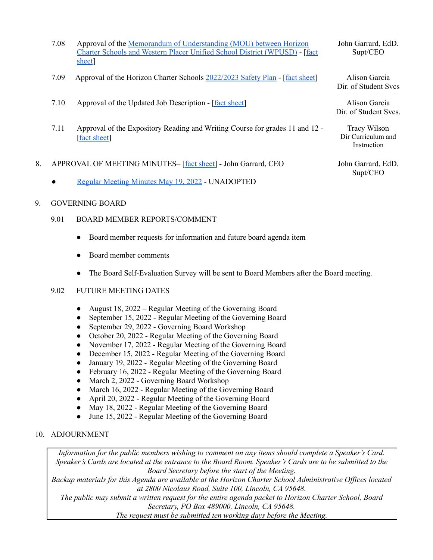- 7.08 Approval of the Memorandum of [Understanding](https://drive.google.com/file/d/1BuX1ZJh38AXmz0GOtVcqT80dvz4Ly-rN/view?usp=sharing) (MOU) between Horizon Charter Schools and Western Placer Unified School District [\(WPUSD\)](https://drive.google.com/file/d/1BuX1ZJh38AXmz0GOtVcqT80dvz4Ly-rN/view?usp=sharing) - [\[fact](https://docs.google.com/document/d/1g3Q59Qi5Vh1O-IOcGIDVnIDx4CB_p6kylRpGTb3kglQ/edit?usp=sharing) [sheet](https://docs.google.com/document/d/1g3Q59Qi5Vh1O-IOcGIDVnIDx4CB_p6kylRpGTb3kglQ/edit?usp=sharing)]
- 7.09 Approval of the Horizon Charter Schools [2022/2023](https://docs.google.com/presentation/d/1VU_tcXB12LABZjDsRf3fKNsOaWbOFYHdrFhKpPdP0AA/edit?usp=sharing) Safety Plan [fact [sheet\]](https://docs.google.com/document/d/16VhQmff6rsWBbsQSP0zTBfjl7uH4HPYqrGfBqPJpIr0/edit?usp=sharing) Alison Garcia
- 7.10 Approval of the Updated Job Description [fact [sheet](https://docs.google.com/document/d/1VtJuFNmxjjUqDzN-uJwJR1rXbQjvzx38OtlQ--qvPx8/edit?usp=sharing)] Alison Garcia
- 7.11 Approval of the Expository Reading and Writing Course for grades 11 and 12 [fact [sheet](https://docs.google.com/document/d/1HsLlNsDm5Pp5s73ocNIosnD9eW3FLQiRh2AgbB-EHsg/edit?usp=sharing)]
- 8. APPROVAL OF MEETING MINUTES– [fact [sheet\]](https://docs.google.com/document/d/1Yi9iN88r5AxTY82rgZKAafW-rrgP99ZbHp76n2UGRjM/edit?usp=sharing) John Garrard, CEO
	- Regular [Meeting](https://docs.google.com/document/d/1OcgFL54teNB3uEwahHXL0-38OBKmv3jlwPt27QSiC2E/edit?usp=sharing) Minutes May 19, 2022 UNADOPTED

## 9. GOVERNING BOARD

- 9.01 BOARD MEMBER REPORTS/COMMENT
	- Board member requests for information and future board agenda item
	- Board member comments
	- The Board Self-Evaluation Survey will be sent to Board Members after the Board meeting.

#### 9.02 FUTURE MEETING DATES

- August 18, 2022 Regular Meeting of the Governing Board
- September 15, 2022 Regular Meeting of the Governing Board
- September 29, 2022 Governing Board Workshop
- October 20, 2022 Regular Meeting of the Governing Board
- November 17, 2022 Regular Meeting of the Governing Board
- December 15, 2022 Regular Meeting of the Governing Board
- January 19, 2022 Regular Meeting of the Governing Board
- February 16, 2022 Regular Meeting of the Governing Board
- March 2, 2022 Governing Board Workshop
- March 16, 2022 Regular Meeting of the Governing Board
- April 20, 2022 Regular Meeting of the Governing Board
- May 18, 2022 Regular Meeting of the Governing Board
- June 15, 2022 Regular Meeting of the Governing Board

## 10. ADJOURNMENT

*Information for the public members wishing to comment on any items should complete a Speaker's Card.* Speaker's Cards are located at the entrance to the Board Room. Speaker's Cards are to be submitted to the *Board Secretary before the start of the Meeting.*

*Backup materials for this Agenda are available at the Horizon Charter School Administrative Of ices located at 2800 Nicolaus Road, Suite 100, Lincoln, CA 95648.*

*The public may submit a written request for the entire agenda packet to Horizon Charter School, Board Secretary, PO Box 489000, Lincoln, CA 95648.*

*The request must be submitted ten working days before the Meeting.*

John Garrard, EdD. Supt/CEO

Dir. of Student Svcs

Dir. of Student Svcs.

Tracy Wilson Dir Curriculum and Instruction

John Garrard, EdD. Supt/CEO